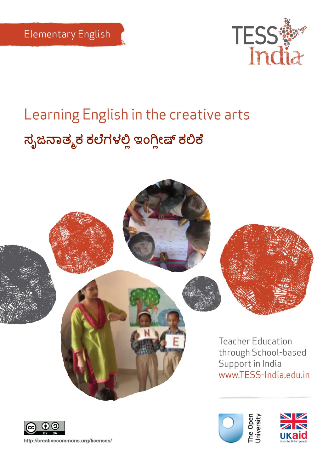

# Learning English in the creative arts **ಸೃಜನತ್ಮಕ ಕಲೆಗಳಲ್ಲಿಇಂಗ್ಿೀಷ್ ಕಲ್ಲಕೆ**





http://creativecommons.org/licenses/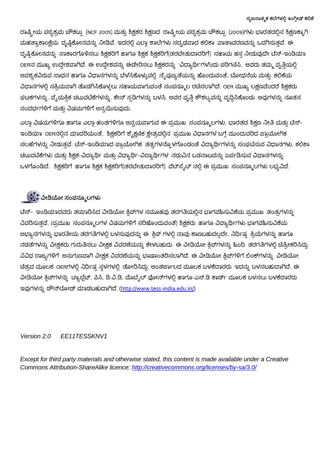ರಾಷ್ಟ್ರೀಯ ಪಠ್ಯಕ್ರಮ ಚೌಕಟ್ಟು (NCF 2005) ಮತ್ತು ಶಿಕ್ಷಕರ ಶಿಕ್ಷಣದ ರಾಷ್ಟ್ರೀಯ ಪಠ್ಯಕ್ರಮ ಚೌಕಟ್ಟು (2009)ಗಳು ಭಾರತದಲ್ಲಿನ ಶಿಕ್ಷಣಕ್ಕಾಗಿ ಮಹತ್ವಾಕಾಂಕ್ಷೆಯ ದೃಷ್ಠಿಕೋನವನ್ನು ನೀಡಿವೆ. ಇದರಲ್ಲಿ ಎಲ್ಲಾ ಶಾಲೆಗಳು ಸದೃಢವಾದ ಕಲಿಕಾ ವಾತಾವರಣವನ್ನು ಒದಗಿಸುತ್ತವೆ. ಈ ದೃಷ್ಟಿಕೋನವನ್ನು ಸಾಕಾರಗೊಳಿಸಲು ಶಿಕ್ಷಕರಿಗೆ ಹಾಗೂ ಶಿಕ್ಷಕ ಶಿಕ್ಷಕರಿಗೆ(ತರಬೇತುದಾರರಿಗೆ) ಸಹಾಯ ಹಸ್ತ ನೀಡುವುದೇ ಟೆಸ್–ಇಂಡಿಯಾ OERನ ಮುಖ್ಯ ಉದ್ದೇಶವಾಗಿದೆ. ಈ ಉದ್ದೇಶವನ್ನು ಈಡೇರಿಸಲು ಶಿಕ್ಷಕರನ್ನು 'ವಿದ್ಯಾರ್ಥಿ'ಗಳೆಂದು ಪರಿಗಣಿಸಿ, ಅವರು ತಮ್ಮ ವೃತ್ತಿಯಲ್ಲಿ ಅವಶ್ಯಕವಿರುವ ಸಾಧನ ಹಾಗೂ ವಿಧಾನಗಳನ್ನು ಬೆಳೆಸಿಕೊಳ್ಳುವಲ್ಲಿ ನೈಪುಣ್ಯತೆಯನ್ನು ಹೊಂದುವಂತೆ, ಬೋಧನೆಯ ಮತ್ತು ಕಲಿಕೆಯ ವಿಧಾನಗಳಲ್ಲಿ ಸಕ್ರಿಯವಾಗಿ ತೊಡಗಿಸಿಕೊಳ್ಳಲು ಸಹಾಯವಾಗುವಂತೆ ಸಂಪನ್ಮೂಲ ರಚಿಸಲಾಗಿದೆ. OER ಮುಖ್ಯ ಲಕ್ಷಣವೆಂದರೆ ಶಿಕ್ಷಕರು ಘಟಕಗಳನ್ನು, ವೈಯಕ್ತಿಕ ಚಟುವಟಿಕೆಗಳನ್ನು, ಕೇಸ್ ಸ್ಪಡಿಗಳನ್ನು ಬಳಸಿ, ಅವರ ವೃತ್ತಿ ಕೌಶಲ್ಯವನ್ನು ವೃದ್ಧಿಸಿಕೊಂಡು ಅವುಗಳನ್ನು ನೂತನ ಸಂದರ್ಭಗಳಿಗೆ ಮತ್ತು ವಿಷಯಗಳಿಗೆ ಅನ್ವಯಿಸುವುದು.

ಎಲ್ಲಾ ವಿಷಯಗಳಿಗೂ ಹಾಗೂ ಎಲ್ಲಾ ಹಂತಗಳಿಗೂ ಅನ್ವಯವಾಗುವ ಈ ಪ್ರಮುಖ ಸಂಪನ್ಮೂಲಗಳು, ಭಾರತದ ಶಿಕ್ಷಣ ನೀತಿ ಮತ್ತು ಟೆಸ್-ಇಂಡಿಯಾ OERನಲ್ಲಿನ ಮಾದರಿಯಂತೆ, ಶಿಕ್ಷಕರಿಗೆ ಶೈಕ್ಷಣಿಕ ಕ್ಷೇತ್ರದಲ್ಲಿನ ಪ್ರಮುಖ ವಿಧಾನಗಳ ಬಗ್ಗೆ ಮುಂದುವರಿದ ಪ್ರಾಯೋಗಿಕ ಸಲಹೆಗಳನ್ನು ನೀಡುತ್ತವೆ. ಟೆಸ್-ಇಂಡಿಯಾದ ಪ್ರಾಯೋಗಿಕ ತತ್ವಗಳನ್ನೊಳಗೊಂಡಂತೆ ವಿದ್ಯಾರ್ಥಿಗಳನ್ನು ಸಂಘಟಿಸುವ ವಿಧಾನಗಳು, ಕಲಿಕಾ ಚಟುವಟಿಕೆಗಳು ಮತ್ತು ಶಿಕ್ಷಕ-ವಿದ್ಯಾರ್ಥಿ ಮತ್ತು ವಿದ್ಯಾರ್ಥಿ-ವಿದ್ಯಾರ್ಥಿಗಳ ನಡುವಿನ ಒಡನಾಟವನ್ನು ಏರ್ಪಡಿಸುವ ವಿಧಾನಗಳನ್ನು ಒಳಗೊಂಡಿದೆ. ಶಿಕ್ಷಕರಿಗೆ ಹಾಗೂ ಶಿಕ್ಷಕ ಶಿಕ್ಷಕರಿಗೆ(ತರಬೇತುದಾರರಿಗೆ) ವೆಬ್ಸೈಟ್ ನಲ್ಲಿ ಈ ಪ್ರಮುಖ ಸಂಪನ್ಮೂಲಗಳು ಲಭ್ಯವಿದೆ.

#### **ವೀಡಿಯೀ ಸಂಪನ್ಮಮಲಗಳು**

ಟೆಸ್- ಇಂಡಿಯಾದವರು ತಯಾರಿಸಿದ ವೀಡಿಯೋ ಕ್ಲಿಪ್ ಗಳ ಸಮೂಹವು ತರಗತಿಯಲ್ಲಿನ ಭಾಗವಹಿಸುವಿಕೆಯ ಪ್ರಮುಖ ತಂತ್ರಗಳನ್ನು ವಿವರಿಸುತ್ತವೆ. (ಪ್ರಮುಖ ಸಂಪನ್ಮೂಲಗಳ ವಿಷಯಗಳಿಗೆ ಸರಿಹೊಂದುವಂತೆ) ಶಿಕ್ಷಕರು ಹಾಗೂ ವಿದ್ಯಾರ್ಥಿಗಳು ಭಾಗವಹಿಸುವಿಕೆಯ ಅಭ್ಯಾಸಗಳನ್ನು ಭಾರತೀಯ ತರಗತಿಗಳಲ್ಲಿ ಬಳಸುವುದನ್ನು ಈ ಕ್ಲಿಪ್ ಗಳಲ್ಲಿ ನಾವು ಕಾಣಬಹುದಲ್ಲದೇ, ನಿರ್ದಿಷ್ಟ ಕ್ರಿಯೆಗಳನ್ನು ಹಾಗೂ ನಡತೆಗಳನ್ನು ವೀಕ್ಷಕರು ಗುರುತಿಸಲು ವೀಕ್ಷಕ ವಿವರಣೆಯನ್ನು ಕೇಳಬಹುದು. ಈ ವೀಡಿಯೋ ಕ್ಲಿಪ್1ಳನ್ನು ಹಿಂದಿ ತರಗತಿಗಳಲ್ಲಿ ಚಿತ್ರೀಕರಿಸಿದ್ದು, ವಿವಿಧ ರಾಜ್ಯಗಳಿಗೆ ಅನುಗುಣವಾಗಿ ವೀಕ್ಷಕ ವಿವರಣೆಯನ್ನು ಭಾಷಾಂತರಿಸಲಾಗಿದೆ. ಈ ವೀಡಿಯೋ ಕ್ಲಿಪ್1ಳಿಗೆ ಲಿಂಕ್1ಳನ್ನು ವೀಡಿಯೋ ಚಿತ್ರದ ಮೂಲಕ OERಗಳಲ್ಲಿ ನಿರ್ದಿಷ್ಟ ಸ್ಥಳಗಳಲ್ಲಿ ತೋರಿಸಿದ್ದು, ಅಂತರ್ಜಾಲದ ಮೂಲಕ ಬಳಕೆದಾರರು ಇದನ್ನು ಬಳಸಬಹುದಾಗಿದೆ. ಈ ವೀಡಿಯೋ ಕ್ಲಿಪ್ಗಳನ್ನು ಟ್ಯಾಬ್ಲೆಟ್, ಪಿಸಿ, ಡಿ.ವಿ.ಡಿ, ಮೊಬ್ಶೈಲ್ ಫೋನ್ಗಳಲ್ಲಿ ಹಾಗೂ ಎಸ್.ಡಿ ಕಾರ್ಡ್ ಮೂಲಕ ಬಳಸಲು ಬಳಕೆದಾರರು ಇವುಗಳನ್ನು ಡೌನ್ಲೋಡ್ ಮಾಡಬಹುದಾಗಿದೆ. [\(http://www.tess-india.edu.in/\)](http://www.tess-india.edu.in/)

#### *Version 2.0 EE11TESSKNV1*

*Except for third party materials and otherwise stated, this content is made available under a Creative Commons Attribution-ShareAlike licence:<http://creativecommons.org/licenses/by-sa/3.0/>*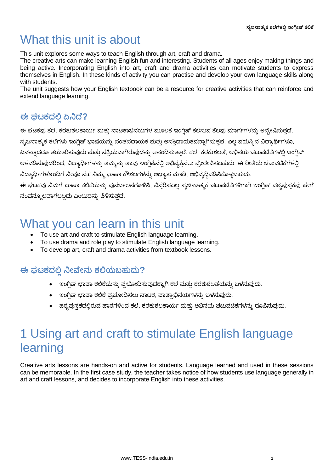## What this unit is about

This unit explores some ways to teach English through art, craft and drama.

The creative arts can make learning English fun and interesting. Students of all ages enjoy making things and being active. Incorporating English into art, craft and drama activities can motivate students to express themselves in English. In these kinds of activity you can practise and develop your own language skills along with students.

The unit suggests how your English textbook can be a resource for creative activities that can reinforce and extend language learning.

### **ಈ ಘಟಕದಲ್ಲಿಏನಿದೆ?**

ಈ ಘಟಕವು ಕಲೆ, ಕರಕುಶಲಕಾರ್ಯ ಮತ್ತು ನಾಟಕಾಭಿನಯಗಳ ಮೂಲಕ ಇಂಗ್ಲಿಷ್ ಕಲಿಸುವ ಕೆಲವು ಮಾರ್ಗಗಳನ್ನು ಅನ್ವೇಷಿಸುತ್ತದೆ. ಸ್ನಜನಾತ್ಮಕ ಕಲೆಗಳು ಇಂಗ್ಲಿಷ್ ಭಾಷೆಯನ್ನು ಸಂತಸದಾಯಕ ಮತ್ತು ಅಸಕ್ತಿದಾಯಕವನ್ನಾಗಿಸುತ್ತವೆ. ಎಲ್ಲ ವಯಸ್ಸಿನ ವಿದ್ಯಾರ್ಥಿಗಳೂ, ಏನನ್ನಾದರೂ ತಯಾರಿಸುವುದು ಮತ್ತು ಸಕ್ರಿಯವಾಗಿರುವುದನ್ನು ಆನಂದಿಸುತ್ತಾರೆ. ಕಲೆ, ಕರಕುಶಲತೆ, ಅಭಿನಯ ಚಟುವಟಿಕೆಗಳಲ್ಲಿ ಇಂಗ್ಲಿಷ್ ಅಳವಡಿಸುವುದರಿಂದ, ವಿದ್ಯಾರ್ಥಿಗಳನ್ನು ತಮ್ಮನ್ನು ತಾವು ಇಂಗ್ಲಿಷಿನಲ್ಲಿ ಅಭಿವ್ಯಕ್ತಿಸಲು ಪ್ರೇರೇಪಿಸಬಹುದು. ಈ ರೀತಿಯ ಚಟುವಟಿಕೆಗಳಲ್ಲಿ ವಿದ್ಯಾರ್ಥಿಗಳೊಂದಿಗೆ ನೀವೂ ಸಹ ನಿಮ್ಮ ಭಾಷಾ ಕೌಶಲಗಳನ್ನು ಅಭ್ಯಾಸ ಮಾಡಿ, ಅಭಿವೃದ್ಧಿಪಡಿಸಿಕೊಳ್ಳಬಹುದು.

ಈ ಘಟಕವು ನಿಮಗೆ ಭಾಷಾ ಕಲಿಕೆಯನ್ನು ಪುನರ್ಬಲನಗೊಳಿಸಿ, ವಿಸ್ತರಿಸಬಲ್ಲ ಸೃಜನಾತ್ಮಕ ಚಟುವಟಿಕೆಗಳಿಗಾಗಿ ಇಂಗ್ಲಿಷ್ ಪಠ್ಯಪುಸ್ತಕವು ಹೇಗೆ ಸಂಪನ್ಮೂಲವಾಗಬಲ್ಲದು ಎಂಬುದನ್ನು ತಿಳಿಸುತದೆ.

## What you can learn in this unit

- To use art and craft to stimulate English language learning.
- To use drama and role play to stimulate English language learning.
- To develop art, craft and drama activities from textbook lessons.

#### **ಈ ಘಟಕದಲ್ಲಿನಿೀವೆೀನ್ು ಕಲ್ಲಯಬಹುದು?**

- ಇಂಗ್ಲಿಷ್ ಭಾಷಾ ಕಲಿಕೆಯನ್ನು ಪ್ರಚೋದಿಸುವುದಕ್ಕಾಗಿ ಕಲೆ ಮತ್ತು ಕರಕುಶಲತೆಯನ್ನು ಬಳಸುವುದು.
- ಇಂಗ್ಲಿಷ್ ಭಾಷಾ ಕಲಿಕೆ ಪ್ರಚೋದಿಸಲು ನಾಟಕ, ಪಾತ್ರಾಭಿನಯಗಳನ್ನು ಬಳಸುವುದು.
- ಪಠ್ಯಪುಸ್ತಕದಲ್ಲಿರುವ ಪಾಠಗಳಿಂದ ಕಲೆ, ಕರಕುಶಲಕಾರ್ಯ ಮತ್ತು ಅಭಿನಯ ಚಟುವಟಿಕೆಗಳನ್ನು ರೂಪಿಸುವುದು.

## 1 Using art and craft to stimulate English language learning

Creative arts lessons are hands-on and active for students. Language learned and used in these sessions can be memorable. In the first case study, the teacher takes notice of how students use language generally in art and craft lessons, and decides to incorporate English into these activities.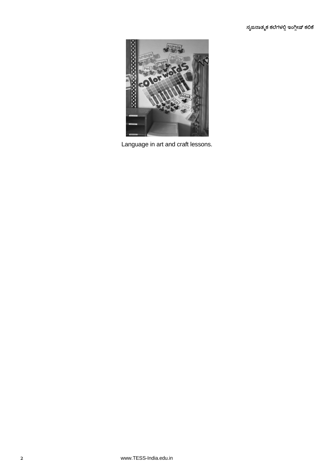

Language in art and craft lessons.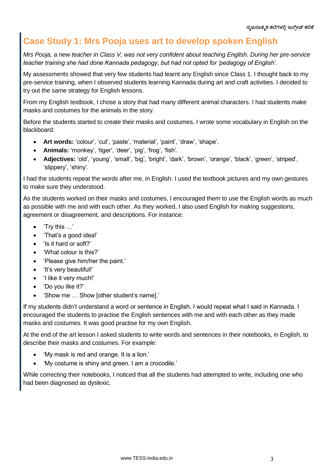### **Case Study 1: Mrs Pooja uses art to develop spoken English**

*Mrs Pooja, a new teacher in Class V, was not very confident about teaching English. During her pre-service teacher training she had done Kannada pedagogy, but had not opted for 'pedagogy of English'.* 

My assessments showed that very few students had learnt any English since Class 1. I thought back to my pre-service training, when I observed students learning Kannada during art and craft activities. I decided to try out the same strategy for English lessons.

From my English textbook, I chose a story that had many different animal characters. I had students make masks and costumes for the animals in the story.

Before the students started to create their masks and costumes, I wrote some vocabulary in English on the blackboard:

- **Art words:** 'colour', 'cut', 'paste', 'material', 'paint', 'draw', 'shape'.
- **Animals:** 'monkey', 'tiger', 'deer', 'pig', 'frog', 'fish'.
- **Adjectives:** 'old', 'young', 'small', 'big', 'bright', 'dark', 'brown', 'orange', 'black', 'green', 'striped', 'slippery', 'shiny'.

I had the students repeat the words after me, in English. I used the textbook pictures and my own gestures to make sure they understood.

As the students worked on their masks and costumes, I encouraged them to use the English words as much as possible with me and with each other. As they worked, I also used English for making suggestions, agreement or disagreement, and descriptions. For instance:

- 'Try this …'
- 'That's a good idea!'
- 'Is it hard or soft?'
- 'What colour is this?'
- 'Please give him/her the paint.'
- 'It's very beautiful!'
- 'I like it very much!'
- 'Do you like it?'
- 'Show me … Show [other student's name].'

If my students didn't understand a word or sentence in English, I would repeat what I said in Kannada. I encouraged the students to practise the English sentences with me and with each other as they made masks and costumes. It was good practise for my own English.

At the end of the art lesson I asked students to write words and sentences in their notebooks, in English, to describe their masks and costumes. For example:

- 'My mask is red and orange. It is a lion.'
- 'My costume is shiny and green. I am a crocodile.'

While correcting their notebooks, I noticed that all the students had attempted to write, including one who had been diagnosed as dyslexic.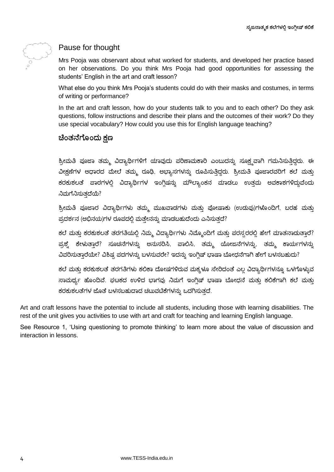

#### Pause for thought

Mrs Pooja was observant about what worked for students, and developed her practice based on her observations. Do you think Mrs Pooja had good opportunities for assessing the students' English in the art and craft lesson?

What else do you think Mrs Pooja's students could do with their masks and costumes, in terms of writing or performance?

In the art and craft lesson, how do your students talk to you and to each other? Do they ask questions, follow instructions and describe their plans and the outcomes of their work? Do they use special vocabulary? How could you use this for English language teaching?

#### **ಚಂತ್ನೆಗೆಮಂದು ಕ್ಷಣ**

ಶ್ರೀಮತಿ ಪೂಜಾ ತಮ್ಮ ವಿದ್ಯಾರ್ಥಿಗಳಿಗೆ ಯಾವುದು ಪರಿಣಾಮಕಾರಿ ಎಂಬುದನ್ನು ಸೂಕ್ಷ್ಮವಾಗಿ ಗಮನಿಸುತ್ತಿದ್ದರು. ಈ ವೀಕ್ಷಣೆಗಳ ಆಧಾರದ ಮೇಲೆ ತಮ್ಮ ರೂಢಿ, ಅಭ್ಯಾಸಗಳನ್ನು ರೂಪಿಸುತ್ತಿದ್ದರು. ಶ್ರೀಮತಿ ಪೂಜಾರವರಿಗೆ ಕಲೆ ಮತ್ತು ಕರಕುಶಲತೆ ಪಾಠಗಳಲ್ಲಿ ವಿದ್ಯಾರ್ಥಿಗಳ ಇಂಗ್ಲಿಷನ್ನು ಮೌಲ್ಯಾಂಕನ ಮಾಡಲು ಉತ್ತಮ ಅವಕಾಶಗಳಿದ್ದುವೆಂದು ನಿಮಗೆನಿಸುತದೆಯೆ?

ಶ್ರೀಮತಿ ಪೂಜಾರ ವಿದ್ಯಾರ್ಥಿಗಳು ತಮ್ಮ ಮುಖವಾಡಗಳು ಮತ್ತು ಪೋಷಾಕು (ಉಡುಪು)ಗಳೊಂದಿಗೆ, ಬರಹ ಮತ್ತು ಪ್ರದರ್ಶನ (ಅಭಿನಯ)ಗಳ ರೂಪದಲ್ಲಿ ಮತ್ತೇನನ್ನು ಮಾಡಬಹುದೆಂದು ಎನಿಸುತ್ತದೆ?

ಕಲೆ ಮತ್ತು ಕರಕುಶಲತೆ ತರಗತಿಯಲ್ಲಿ ನಿಮ್ಮ ವಿದ್ಯಾರ್ಥಿಗಳು ನಿಮ್ಮೊಂದಿಗೆ ಮತ್ತು ಪರಸ್ಪರರಲ್ಲಿ ಹೇಗೆ ಮಾತನಾಡುತ್ತಾರೆ? ಪ್ರಶ್ನೆ ಕೇಳುತ್ತಾರೆ? ಸೂಚನೆಗಳನ್ನು ಅನುಸರಿಸಿ, ಪಾಲಿಸಿ, ತಮ್ಮ ಯೋಜನೆಗಳನ್ನು, ತಮ್ಮ ಕಾರ್ಯಗಳನ್ನು ವಿವರಿಸುತ್ತಾರೆಯೇ? ವಿಶಿಷ್ಟ ಪದಗಳನ್ನು ಬಳಸುವರೇ? ಇದನ್ನು ಇಂಗ್ಲಿಷ್ ಭಾಷಾ ಬೋಧನೆಗಾಗಿ ಹೇಗೆ ಬಳಸಬಹುದು?

ಕಲೆ ಮತ್ತು ಕರಕುಶಲತೆ ತರಗತಿಗಳು ಕಲಿಕಾ ದೋಷಗಳಿರುವ ಮಕ್ಕಳೂ ಸೇರಿದಂತೆ ಎಲ್ಲ ವಿದ್ಯಾರ್ಥಿಗಳನ್ನೂ ಒಳಗೊಳ್ಳುವ ಸಾಮರ್ಥ್ಯ ಹೊಂದಿವೆ. ಘಟಕದ ಉಳಿದ ಭಾಗವು ನಿಮಗೆ ಇಂಗ್ಲಿಷ್ ಭಾಷಾ ಬೋಧನೆ ಮತ್ತು ಕಲಿಕೆಗಾಗಿ ಕಲೆ ಮತ್ತು ಕರಕುಶಲತೆಗಳ ಜೊತೆ ಬಳಸಬಹುದಾದ ಚಟುವಟಿಕೆಗಳನ್ನು ಒದಗಿಸುತ್ತದೆ.

Art and craft lessons have the potential to include all students, including those with learning disabilities. The rest of the unit gives you activities to use with art and craft for teaching and learning English language.

See Resource 1, 'Using questioning to promote thinking' to learn more about the value of discussion and interaction in lessons.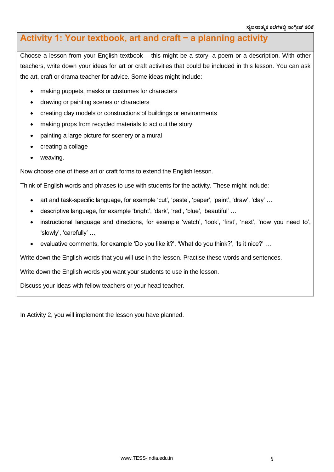### **Activity 1: Your textbook, art and craft − a planning activity**

Choose a lesson from your English textbook – this might be a story, a poem or a description. With other teachers, write down your ideas for art or craft activities that could be included in this lesson. You can ask the art, craft or drama teacher for advice. Some ideas might include:

- making puppets, masks or costumes for characters
- drawing or painting scenes or characters
- creating clay models or constructions of buildings or environments
- making props from recycled materials to act out the story
- painting a large picture for scenery or a mural
- creating a collage
- weaving.

Now choose one of these art or craft forms to extend the English lesson.

Think of English words and phrases to use with students for the activity. These might include:

- art and task-specific language, for example 'cut', 'paste', 'paper', 'paint', 'draw', 'clay' …
- descriptive language, for example 'bright', 'dark', 'red', 'blue', 'beautiful' …
- instructional language and directions, for example 'watch', 'look', 'first', 'next', 'now you need to', 'slowly', 'carefully' …
- evaluative comments, for example 'Do you like it?', 'What do you think?', 'Is it nice?' …

Write down the English words that you will use in the lesson. Practise these words and sentences.

Write down the English words you want your students to use in the lesson.

Discuss your ideas with fellow teachers or your head teacher.

In Activity 2, you will implement the lesson you have planned.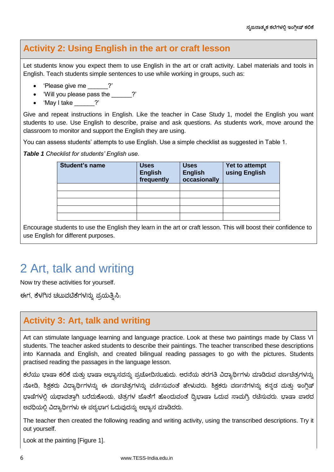### **Activity 2: Using English in the art or craft lesson**

Let students know you expect them to use English in the art or craft activity. Label materials and tools in English. Teach students simple sentences to use while working in groups, such as:

- 'Please give me \_\_\_\_\_\_?'
- 'Will you please pass the \_\_\_\_\_\_?'
- 'May I take \_\_\_\_\_\_?'

Give and repeat instructions in English. Like the teacher in Case Study 1, model the English you want students to use. Use English to describe, praise and ask questions. As students work, move around the classroom to monitor and support the English they are using.

You can assess students' attempts to use English. Use a simple checklist as suggested in Table 1.

*Table 1 Checklist for students' English use.* 

| <b>Student's name</b> | <b>Uses</b><br><b>English</b><br>frequently | <b>Uses</b><br><b>English</b><br>occasionally | Yet to attempt<br>using English |
|-----------------------|---------------------------------------------|-----------------------------------------------|---------------------------------|
|                       |                                             |                                               |                                 |
|                       |                                             |                                               |                                 |
|                       |                                             |                                               |                                 |
|                       |                                             |                                               |                                 |
|                       |                                             |                                               |                                 |

Encourage students to use the English they learn in the art or craft lesson. This will boost their confidence to use English for different purposes.

## 2 Art, talk and writing

Now try these activities for yourself.

ಈಗ, ಕೆಳಗಿನ ಚಟುವಟಿಕೆಗಳನ್ನು ಪ್ರಯತ್ನಿಸಿ.

#### **Activity 3: Art, talk and writing**

Art can stimulate language learning and language practice. Look at these two paintings made by Class VI students. The teacher asked students to describe their paintings. The teacher transcribed these descriptions into Kannada and English, and created bilingual reading passages to go with the pictures. Students practised reading the passages in the language lesson.

ಕಲೆಯು ಭಾಷಾ ಕಲಿಕೆ ಮತ್ತು ಭಾಷಾ ಅಭ್ಯಾಸವನ್ನು ಪ್ರಚೋದಿಸಬಹುದು. ಆರನೆಯ ತರಗತಿ ವಿದ್ಯಾರ್ಥಿಗಳು ಮಾಡಿರುವ ವರ್ಣಚಿತ್ರಗಳನ್ನು ನೋಡಿ, ಶಿಕ್ಷಕರು ವಿದ್ಯಾರ್ಥಿಗಳನ್ನು ಈ ವರ್ಣಚಿತ್ರಗಳನ್ನು ವರ್ಣಿಸುವಂತೆ ಹೇಳುವರು. ಶಿಕ್ಷಕರು ವರ್ಣನೆಗಳನ್ನು ಕನ್ನಡ ಮತ್ತು ಇಂಗ್ಲಿಷ್ ಭಾಷೆಗಳಲ್ಲಿ ಯಥಾವತ್ತಾಗಿ ಬರೆದುಕೊಂಡು, ಚಿತ್ರಗಳ ಜೊತೆಗೆ ಹೊಂದುವಂತೆ ದ್ವಿಭಾಷಾ ಓದುವ ಸಾಮಗ್ರಿ ರಚಿಸುವರು. ಭಾಷಾ ಪಾಠದ ಅವಧಿಯಲ್ಲಿ ವಿದ್ಯಾರ್ಥಿಗಳು ಈ ಪಠ್ಯಭಾಗ ಓದುವುದನ್ನು ಅಭ್ಯಾಸ ಮಾಡಿದರು.

The teacher then created the following reading and writing activity, using the transcribed descriptions. Try it out yourself.

Look at the painting [Figure 1].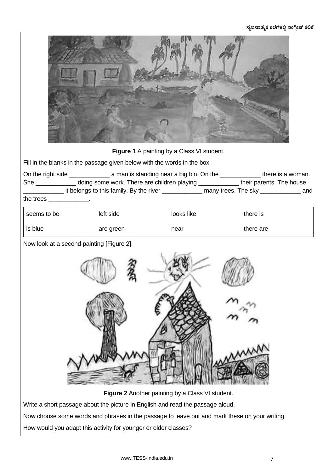**ಸೃಜನತ್ಮಕ ಕಲೆಗಳಲ್ಲಿಇಂಗ್ಿೀಷ್ ಕಲ್ಲಕೆ**



**Figure 1** A painting by a Class VI student.

Fill in the blanks in the passage given below with the words in the box.

|                                                     |                                                                                                         |                                                  | On the right side <u>second a mannic standing near</u> a big bin. On the second the there is a woman. |  |
|-----------------------------------------------------|---------------------------------------------------------------------------------------------------------|--------------------------------------------------|-------------------------------------------------------------------------------------------------------|--|
|                                                     | She _______________ doing some work. There are children playing ______________ their parents. The house |                                                  |                                                                                                       |  |
|                                                     | it belongs to this family. By the river <u>entimely</u> many trees. The sky electronic and              |                                                  |                                                                                                       |  |
| the trees $\frac{\qquad \qquad }{\qquad \qquad }$ . |                                                                                                         |                                                  |                                                                                                       |  |
| seems to be                                         | left side                                                                                               | looks like                                       | there is                                                                                              |  |
| is blue                                             | are green                                                                                               | near                                             | there are                                                                                             |  |
|                                                     | Now look at a second painting [Figure 2].                                                               |                                                  |                                                                                                       |  |
|                                                     |                                                                                                         |                                                  |                                                                                                       |  |
|                                                     |                                                                                                         |                                                  |                                                                                                       |  |
|                                                     |                                                                                                         |                                                  |                                                                                                       |  |
|                                                     |                                                                                                         | Figure 2 Another painting by a Class VI student. |                                                                                                       |  |
|                                                     | Write a short passage about the picture in English and read the passage aloud.                          |                                                  |                                                                                                       |  |

Now choose some words and phrases in the passage to leave out and mark these on your writing.

How would you adapt this activity for younger or older classes?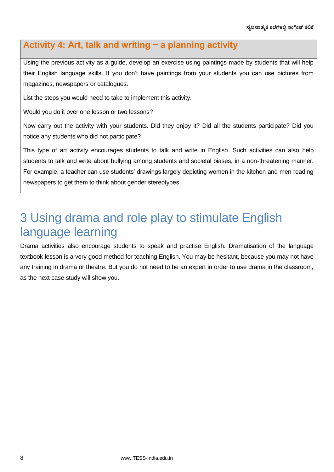#### **Activity 4: Art, talk and writing − a planning activity**

Using the previous activity as a guide, develop an exercise using paintings made by students that will help their English language skills. If you don't have paintings from your students you can use pictures from magazines, newspapers or catalogues.

List the steps you would need to take to implement this activity.

Would you do it over one lesson or two lessons?

Now carry out the activity with your students. Did they enjoy it? Did all the students participate? Did you notice any students who did not participate?

This type of art activity encourages students to talk and write in English. Such activities can also help students to talk and write about bullying among students and societal biases, in a non-threatening manner. For example, a teacher can use students' drawings largely depicting women in the kitchen and men reading newspapers to get them to think about gender stereotypes.

## 3 Using drama and role play to stimulate English language learning

Drama activities also encourage students to speak and practise English. Dramatisation of the language textbook lesson is a very good method for teaching English. You may be hesitant, because you may not have any training in drama or theatre. But you do not need to be an expert in order to use drama in the classroom, as the next case study will show you.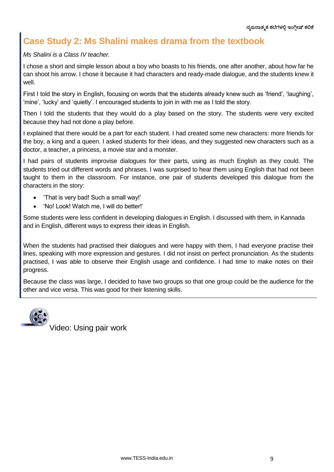### **Case Study 2: Ms Shalini makes drama from the textbook**

*Ms Shalini is a Class IV teacher.*

I chose a short and simple lesson about a boy who boasts to his friends, one after another, about how far he can shoot his arrow. I chose it because it had characters and ready-made dialogue, and the students knew it well.

First I told the story in English, focusing on words that the students already knew such as 'friend', 'laughing', 'mine', 'lucky' and 'quietly'. I encouraged students to join in with me as I told the story.

Then I told the students that they would do a play based on the story. The students were very excited because they had not done a play before.

I explained that there would be a part for each student. I had created some new characters: more friends for the boy, a king and a queen. I asked students for their ideas, and they suggested new characters such as a doctor, a teacher, a princess, a movie star and a monster.

I had pairs of students improvise dialogues for their parts, using as much English as they could. The students tried out different words and phrases. I was surprised to hear them using English that had not been taught to them in the classroom. For instance, one pair of students developed this dialogue from the characters in the story:

- 'That is very bad! Such a small way!'
- 'No! Look! Watch me, I will do better!'

Some students were less confident in developing dialogues in English. I discussed with them, in Kannada and in English, different ways to express their ideas in English.

When the students had practised their dialogues and were happy with them, I had everyone practise their lines, speaking with more expression and gestures. I did not insist on perfect pronunciation. As the students practised, I was able to observe their English usage and confidence. I had time to make notes on their progress.

Because the class was large, I decided to have two groups so that one group could be the audience for the other and vice versa. This was good for their listening skills.



Video: Using pair work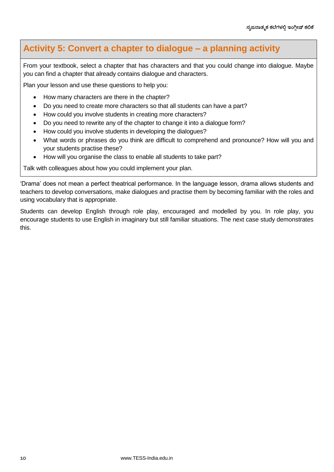### **Activity 5: Convert a chapter to dialogue – a planning activity**

From your textbook, select a chapter that has characters and that you could change into dialogue. Maybe you can find a chapter that already contains dialogue and characters.

Plan your lesson and use these questions to help you:

- How many characters are there in the chapter?
- Do you need to create more characters so that all students can have a part?
- How could you involve students in creating more characters?
- Do you need to rewrite any of the chapter to change it into a dialogue form?
- How could you involve students in developing the dialogues?
- What words or phrases do you think are difficult to comprehend and pronounce? How will you and your students practise these?
- How will you organise the class to enable all students to take part?

Talk with colleagues about how you could implement your plan.

'Drama' does not mean a perfect theatrical performance. In the language lesson, drama allows students and teachers to develop conversations, make dialogues and practise them by becoming familiar with the roles and using vocabulary that is appropriate.

Students can develop English through role play, encouraged and modelled by you. In role play, you encourage students to use English in imaginary but still familiar situations. The next case study demonstrates this.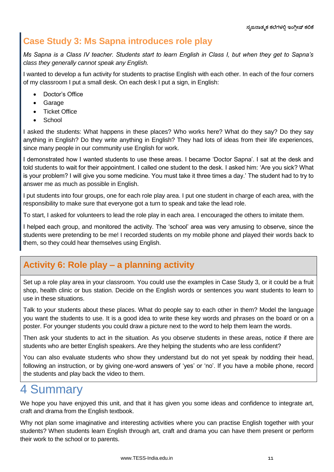### **Case Study 3: Ms Sapna introduces role play**

*Ms Sapna is a Class IV teacher. Students start to learn English in Class I, but when they get to Sapna's class they generally cannot speak any English.* 

I wanted to develop a fun activity for students to practise English with each other. In each of the four corners of my classroom I put a small desk. On each desk I put a sign, in English:

- Doctor's Office
- Garage
- Ticket Office
- **School**

I asked the students: What happens in these places? Who works here? What do they say? Do they say anything in English? Do they write anything in English? They had lots of ideas from their life experiences, since many people in our community use English for work.

I demonstrated how I wanted students to use these areas. I became 'Doctor Sapna'. I sat at the desk and told students to wait for their appointment. I called one student to the desk. I asked him: 'Are you sick? What is your problem? I will give you some medicine. You must take it three times a day.' The student had to try to answer me as much as possible in English.

I put students into four groups, one for each role play area. I put one student in charge of each area, with the responsibility to make sure that everyone got a turn to speak and take the lead role.

To start, I asked for volunteers to lead the role play in each area. I encouraged the others to imitate them.

I helped each group, and monitored the activity. The 'school' area was very amusing to observe, since the students were pretending to be me! I recorded students on my mobile phone and played their words back to them, so they could hear themselves using English.

### **Activity 6: Role play – a planning activity**

Set up a role play area in your classroom. You could use the examples in Case Study 3, or it could be a fruit shop, health clinic or bus station. Decide on the English words or sentences you want students to learn to use in these situations.

Talk to your students about these places. What do people say to each other in them? Model the language you want the students to use. It is a good idea to write these key words and phrases on the board or on a poster. For younger students you could draw a picture next to the word to help them learn the words.

Then ask your students to act in the situation. As you observe students in these areas, notice if there are students who are better English speakers. Are they helping the students who are less confident?

You can also evaluate students who show they understand but do not yet speak by nodding their head, following an instruction, or by giving one-word answers of 'yes' or 'no'. If you have a mobile phone, record the students and play back the video to them.

### 4 Summary

We hope you have enjoyed this unit, and that it has given you some ideas and confidence to integrate art, craft and drama from the English textbook.

Why not plan some imaginative and interesting activities where you can practise English together with your students? When students learn English through art, craft and drama you can have them present or perform their work to the school or to parents.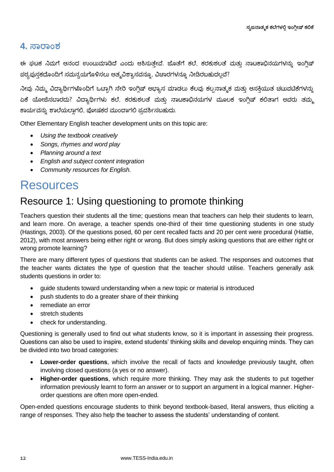#### **4. ಸರಂಶ**

ಈ ಘಟಕ ನಿಮಗೆ ಆನಂದ ಉಂಟುಮಾಡಿದೆ ಎಂದು ಆಶಿಸುತ್ತೇವೆ. ಜೊತೆಗೆ ಕಲೆ, ಕರಕುಶಲತೆ ಮತ್ತು ನಾಟಕಾಭಿನಯಗಳನ್ನು ಇಂಗ್ಲಿಷ್ ಪಠ್ಯಪುಸ್ತಕದೊಂದಿಗೆ ಸಮನ್ವಯಗೊಳಿಸಲು ಆತ್ಮವಿಶ್ವಾಸವನ್ನೂ, ವಿಚಾರಗಳನ್ನೂ ನೀಡಿರಬಹುದಲ್ಲವೆ?

ನೀವು ನಿಮ್ಮ ವಿದ್ಯಾರ್ಥಿಗಳೊಂದಿಗೆ ಒಟ್ಟಾಗಿ ಸೇರಿ ಇಂಗ್ಲಿಷ್ ಅಭ್ಯಾಸ ಮಾಡಲು ಕೆಲವು ಕಲ್ಪನಾತ್ಮಕ ಮತ್ತು ಆಸಕ್ತಿಯುತ ಚಟುವಟಿಕೆಗಳನ್ನು ಏಕೆ ಯೋಜಿಸಬಾರದು? ವಿದ್ಯಾರ್ಥಿಗಳು ಕಲೆ, ಕರಕುಶಲತೆ ಮತ್ತು ನಾಟಕಾಭಿನಯಗಳ ಮೂಲಕ ಇಂಗ್ಲಿಷ್ ಕಲಿತಾಗ ಅವರು ತಮ್ಮ ಕಾರ್ಯವನ್ನು ಶಾಲೆಯಲ್ಲಾಗಲಿ, ಪೋಷಕರ ಮುಂದಾಗಲಿ ಪ್ರದರ್ಶಿಸಬಹುದು.

Other Elementary English teacher development units on this topic are:

- *Using the textbook creatively*
- *Songs, rhymes and word play*
- *Planning around a text*
- *English and subject content integration*
- *Community resources for English.*

### Resources

### Resource 1: Using questioning to promote thinking

Teachers question their students all the time; questions mean that teachers can help their students to learn, and learn more. On average, a teacher spends one-third of their time questioning students in one study (Hastings, 2003). Of the questions posed, 60 per cent recalled facts and 20 per cent were procedural (Hattie, 2012), with most answers being either right or wrong. But does simply asking questions that are either right or wrong promote learning?

There are many different types of questions that students can be asked. The responses and outcomes that the teacher wants dictates the type of question that the teacher should utilise. Teachers generally ask students questions in order to:

- guide students toward understanding when a new topic or material is introduced
- push students to do a greater share of their thinking
- remediate an error
- stretch students
- check for understanding.

Questioning is generally used to find out what students know, so it is important in assessing their progress. Questions can also be used to inspire, extend students' thinking skills and develop enquiring minds. They can be divided into two broad categories:

- **Lower-order questions**, which involve the recall of facts and knowledge previously taught, often involving closed questions (a yes or no answer).
- **Higher-order questions**, which require more thinking. They may ask the students to put together information previously learnt to form an answer or to support an argument in a logical manner. Higherorder questions are often more open-ended.

Open-ended questions encourage students to think beyond textbook-based, literal answers, thus eliciting a range of responses. They also help the teacher to assess the students' understanding of content.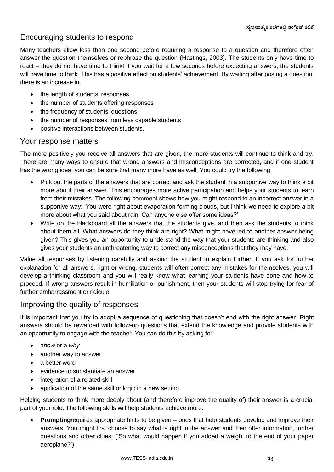#### Encouraging students to respond

Many teachers allow less than one second before requiring a response to a question and therefore often answer the question themselves or rephrase the question (Hastings, 2003). The students only have time to react – they do not have time to think! If you wait for a few seconds before expecting answers, the students will have time to think. This has a positive effect on students' achievement. By waiting after posing a question, there is an increase in:

- the length of students' responses
- the number of students offering responses
- the frequency of students' questions
- the number of responses from less capable students
- positive interactions between students.

#### Your response matters

The more positively you receive all answers that are given, the more students will continue to think and try. There are many ways to ensure that wrong answers and misconceptions are corrected, and if one student has the wrong idea, you can be sure that many more have as well. You could try the following:

- Pick out the parts of the answers that are correct and ask the student in a supportive way to think a bit more about their answer. This encourages more active participation and helps your students to learn from their mistakes. The following comment shows how you might respond to an incorrect answer in a supportive way: 'You were right about evaporation forming clouds, but I think we need to explore a bit more about what you said about rain. Can anyone else offer some ideas?'
- Write on the blackboard all the answers that the students give, and then ask the students to think about them all. What answers do they think are right? What might have led to another answer being given? This gives you an opportunity to understand the way that your students are thinking and also gives your students an unthreatening way to correct any misconceptions that they may have.

Value all responses by listening carefully and asking the student to explain further. If you ask for further explanation for all answers, right or wrong, students will often correct any mistakes for themselves, you will develop a thinking classroom and you will really know what learning your students have done and how to proceed. If wrong answers result in humiliation or punishment, then your students will stop trying for fear of further embarrassment or ridicule.

#### Improving the quality of responses

It is important that you try to adopt a sequence of questioning that doesn't end with the right answer. Right answers should be rewarded with follow-up questions that extend the knowledge and provide students with an opportunity to engage with the teacher. You can do this by asking for:

- a*how* or a *why*
- another way to answer
- a better word
- evidence to substantiate an answer
- integration of a related skill
- application of the same skill or logic in a new setting.

Helping students to think more deeply about (and therefore improve the quality of) their answer is a crucial part of your role. The following skills will help students achieve more:

 **Prompting**requires appropriate hints to be given – ones that help students develop and improve their answers. You might first choose to say what is right in the answer and then offer information, further questions and other clues. ('So what would happen if you added a weight to the end of your paper aeroplane?')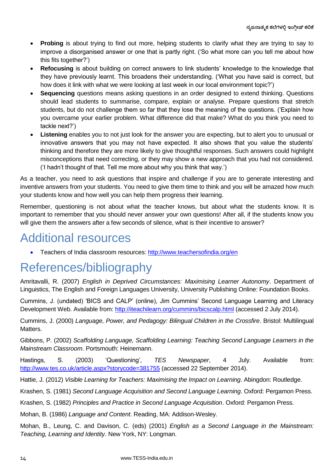- **Probing** is about trying to find out more, helping students to clarify what they are trying to say to improve a disorganised answer or one that is partly right. ('So what more can you tell me about how this fits together?')
- **Refocusing** is about building on correct answers to link students' knowledge to the knowledge that they have previously learnt. This broadens their understanding. ('What you have said is correct, but how does it link with what we were looking at last week in our local environment topic?')
- **Sequencing** questions means asking questions in an order designed to extend thinking. Questions should lead students to summarise, compare, explain or analyse. Prepare questions that stretch students, but do not challenge them so far that they lose the meaning of the questions. ('Explain how you overcame your earlier problem. What difference did that make? What do you think you need to tackle next?')
- **Listening** enables you to not just look for the answer you are expecting, but to alert you to unusual or innovative answers that you may not have expected. It also shows that you value the students' thinking and therefore they are more likely to give thoughtful responses. Such answers could highlight misconceptions that need correcting, or they may show a new approach that you had not considered. ('I hadn't thought of that. Tell me more about why you think that way.')

As a teacher, you need to ask questions that inspire and challenge if you are to generate interesting and inventive answers from your students. You need to give them time to think and you will be amazed how much your students know and how well you can help them progress their learning.

Remember, questioning is not about what the teacher knows, but about what the students know. It is important to remember that you should never answer your own questions! After all, if the students know you will give them the answers after a few seconds of silence, what is their incentive to answer?

## Additional resources

Teachers of India classroom resources:<http://www.teachersofindia.org/en>

## References/bibliography

Amritavalli, R. (2007) *English in Deprived Circumstances: Maximising Learner Autonomy*. Department of Linguistics, The English and Foreign Languages University, University Publishing Online: Foundation Books.

Cummins, J. (undated) 'BICS and CALP' (online), Jim Cummins' Second Language Learning and Literacy Development Web. Available from:<http://iteachilearn.org/cummins/bicscalp.html> (accessed 2 July 2014).

Cummins, J. (2000) *Language, Power, and Pedagogy: Bilingual Children in the Crossfire*. Bristol: Multilingual Matters.

Gibbons, P. (2002) *Scaffolding Language, Scaffolding Learning: Teaching Second Language Learners in the Mainstream Classroom*. Portsmouth: Heinemann.

Hastings, S. (2003) 'Questioning', *TES Newspaper*, 4 July. Available from: <http://www.tes.co.uk/article.aspx?storycode=381755> (accessed 22 September 2014).

Hattie, J. (2012) *Visible Learning for Teachers: Maximising the Impact on Learning*. Abingdon: Routledge.

Krashen, S. (1981) *Second Language Acquisition and Second Language Learning*. Oxford: Pergamon Press.

Krashen, S. (1982) *Principles and Practice in Second Language Acquisition*. Oxford: Pergamon Press.

Mohan, B. (1986) *Language and Content*. Reading, MA: Addison-Wesley.

Mohan, B., Leung, C. and Davison, C. (eds) (2001) *English as a Second Language in the Mainstream: Teaching, Learning and Identity*. New York, NY: Longman.